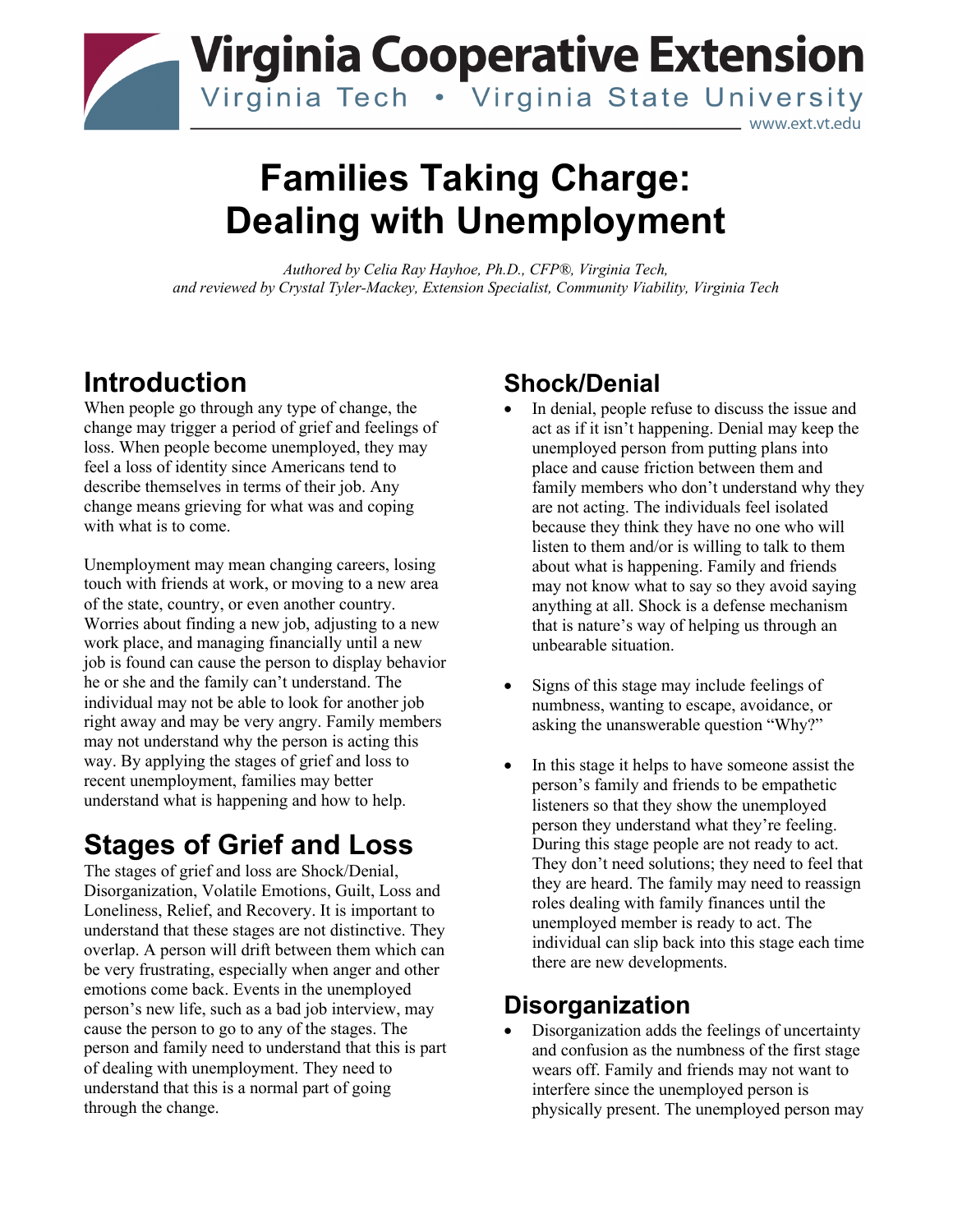

# **Families Taking Charge: Dealing with Unemployment**

*Authored by Celia Ray Hayhoe, Ph.D., CFP®, Virginia Tech, and reviewed by Crystal Tyler-Mackey, Extension Specialist, Community Viability, Virginia Tech* 

## **Introduction**

When people go through any type of change, the change may trigger a period of grief and feelings of loss. When people become unemployed, they may feel a loss of identity since Americans tend to describe themselves in terms of their job. Any change means grieving for what was and coping with what is to come.

Unemployment may mean changing careers, losing touch with friends at work, or moving to a new area of the state, country, or even another country. Worries about finding a new job, adjusting to a new work place, and managing financially until a new job is found can cause the person to display behavior he or she and the family can't understand. The individual may not be able to look for another job right away and may be very angry. Family members may not understand why the person is acting this way. By applying the stages of grief and loss to recent unemployment, families may better understand what is happening and how to help.

## **Stages of Grief and Loss**

The stages of grief and loss are Shock/Denial, Disorganization, Volatile Emotions, Guilt, Loss and Loneliness, Relief, and Recovery. It is important to understand that these stages are not distinctive. They overlap. A person will drift between them which can be very frustrating, especially when anger and other emotions come back. Events in the unemployed person's new life, such as a bad job interview, may cause the person to go to any of the stages. The person and family need to understand that this is part of dealing with unemployment. They need to understand that this is a normal part of going through the change.

### **Shock/Denial**

- In denial, people refuse to discuss the issue and act as if it isn't happening. Denial may keep the unemployed person from putting plans into place and cause friction between them and family members who don't understand why they are not acting. The individuals feel isolated because they think they have no one who will listen to them and/or is willing to talk to them about what is happening. Family and friends may not know what to say so they avoid saying anything at all. Shock is a defense mechanism that is nature's way of helping us through an unbearable situation.
- Signs of this stage may include feelings of numbness, wanting to escape, avoidance, or asking the unanswerable question "Why?"
- In this stage it helps to have someone assist the person's family and friends to be empathetic listeners so that they show the unemployed person they understand what they're feeling. During this stage people are not ready to act. They don't need solutions; they need to feel that they are heard. The family may need to reassign roles dealing with family finances until the unemployed member is ready to act. The individual can slip back into this stage each time there are new developments.

#### **Disorganization**

• Disorganization adds the feelings of uncertainty and confusion as the numbness of the first stage wears off. Family and friends may not want to interfere since the unemployed person is physically present. The unemployed person may